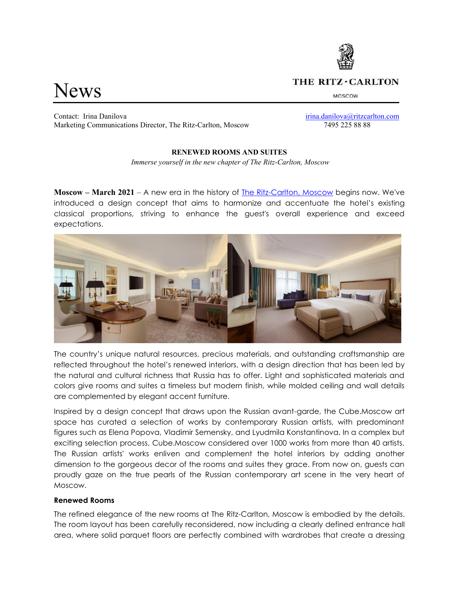

# THE RITZ - CARLTON

MOSCOW

News

Contact: Irina Danilova [irina.danilova@ritzcarlton.com](mailto:irina.danilova@ritzcarlton.com) Marketing Communications Director, The Ritz-Carlton, Moscow 7495 225 88 88

## **RENEWED ROOMS AND SUITES**

*Immerse yourself in the new chapter of The Ritz-Carlton, Moscow*

**Moscow – March 2021** – A new era in the history of [The Ritz-Carlton, Moscow](https://www.ritzcarlton.com/moscow) begins now. We've introduced a design concept that aims to harmonize and accentuate the hotel's existing classical proportions, striving to enhance the guest's overall experience and exceed expectations.



The country's unique natural resources, precious materials, and outstanding craftsmanship are reflected throughout the hotel's renewed interiors, with a design direction that has been led by the natural and cultural richness that Russia has to offer. Light and sophisticated materials and colors give rooms and suites a timeless but modern finish, while molded ceiling and wall details are complemented by elegant accent furniture.

Inspired by a design concept that draws upon the Russian avant-garde, the Cube.Moscow art space has curated a selection of works by contemporary Russian artists, with predominant figures such as Elena Popova, Vladimir Semensky, and Lyudmila Konstantinova. In a complex but exciting selection process, Cube.Moscow considered over 1000 works from more than 40 artists. The Russian artists' works enliven and complement the hotel interiors by adding another dimension to the gorgeous decor of the rooms and suites they grace. From now on, guests can proudly gaze on the true pearls of the Russian contemporary art scene in the very heart of Moscow.

## **Renewed Rooms**

The refined elegance of the new rooms at The Ritz-Carlton, Moscow is embodied by the details. The room layout has been carefully reconsidered, now including a clearly defined entrance hall area, where solid parquet floors are perfectly combined with wardrobes that create a dressing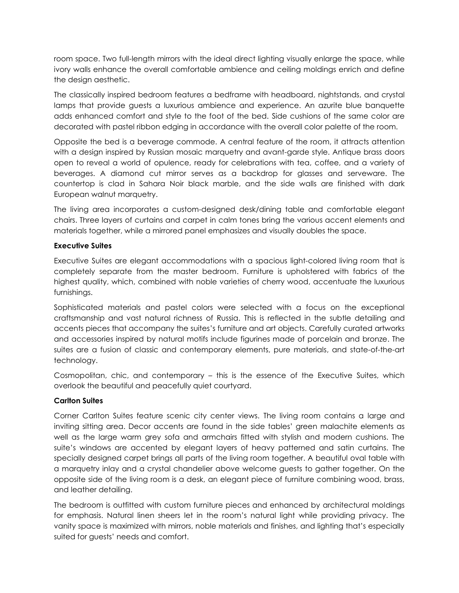room space. Two full-length mirrors with the ideal direct lighting visually enlarge the space, while ivory walls enhance the overall comfortable ambience and ceiling moldings enrich and define the design aesthetic.

The classically inspired bedroom features a bedframe with headboard, nightstands, and crystal lamps that provide guests a luxurious ambience and experience. An azurite blue banquette adds enhanced comfort and style to the foot of the bed. Side cushions of the same color are decorated with pastel ribbon edging in accordance with the overall color palette of the room.

Opposite the bed is a beverage commode. A central feature of the room, it attracts attention with a design inspired by Russian mosaic marquetry and avant-garde style. Antique brass doors open to reveal a world of opulence, ready for celebrations with tea, coffee, and a variety of beverages. A diamond cut mirror serves as a backdrop for glasses and serveware. The countertop is clad in Sahara Noir black marble, and the side walls are finished with dark European walnut marquetry.

The living area incorporates a custom-designed desk/dining table and comfortable elegant chairs. Three layers of curtains and carpet in calm tones bring the various accent elements and materials together, while a mirrored panel emphasizes and visually doubles the space.

## **Executive Suites**

Executive Suites are elegant accommodations with a spacious light-colored living room that is completely separate from the master bedroom. Furniture is upholstered with fabrics of the highest quality, which, combined with noble varieties of cherry wood, accentuate the luxurious furnishings.

Sophisticated materials and pastel colors were selected with a focus on the exceptional craftsmanship and vast natural richness of Russia. This is reflected in the subtle detailing and accents pieces that accompany the suites's furniture and art objects. Carefully curated artworks and accessories inspired by natural motifs include figurines made of porcelain and bronze. The suites are a fusion of classic and contemporary elements, pure materials, and state-of-the-art technology.

Cosmopolitan, chic, and contemporary – this is the essence of the Executive Suites, which overlook the beautiful and peacefully quiet courtyard.

## **Carlton Suites**

Corner Carlton Suites feature scenic city center views. The living room contains a large and inviting sitting area. Decor accents are found in the side tables' green malachite elements as well as the large warm grey sofa and armchairs fitted with stylish and modern cushions. The suite's windows are accented by elegant layers of heavy patterned and satin curtains. The specially designed carpet brings all parts of the living room together. A beautiful oval table with a marquetry inlay and a crystal chandelier above welcome guests to gather together. On the opposite side of the living room is a desk, an elegant piece of furniture combining wood, brass, and leather detailing.

The bedroom is outfitted with custom furniture pieces and enhanced by architectural moldings for emphasis. Natural linen sheers let in the room's natural light while providing privacy. The vanity space is maximized with mirrors, noble materials and finishes, and lighting that's especially suited for guests' needs and comfort.